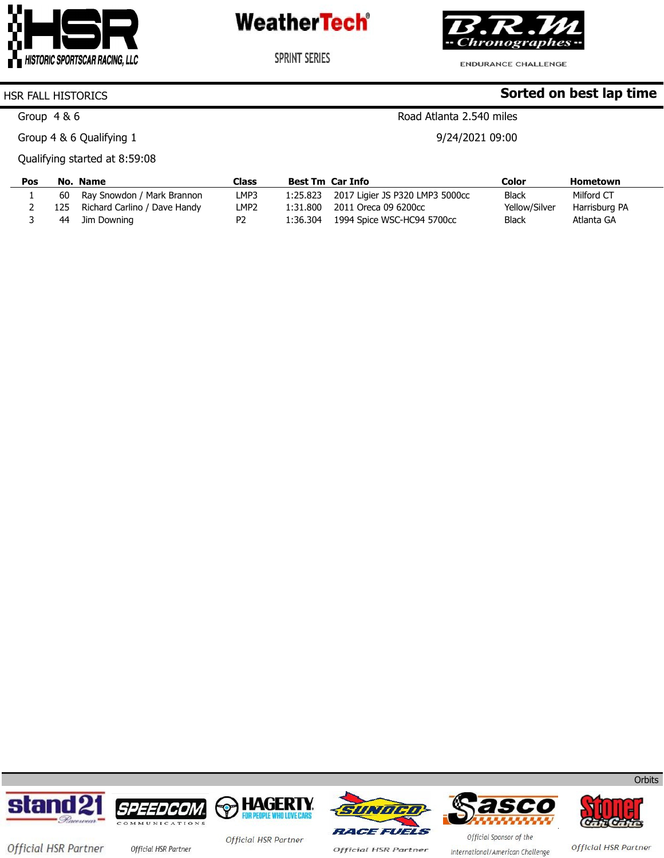



**SPRINT SERIES** 

ENDURANCE CHALLENGE

Road Atlanta 2.540 miles

9/24/2021 09:00

**Sorted on best lap time**

#### HSR FALL HISTORICS

Group 4 & 6

Group 4 & 6 Qualifying 1

Qualifying started at 8:59:08

| Pos |     | No. Name                      | Class            | Best Tm Car Info |                                          | Color         | Hometown      |
|-----|-----|-------------------------------|------------------|------------------|------------------------------------------|---------------|---------------|
|     |     | 60 Ray Snowdon / Mark Brannon | LMP3             |                  | 1:25.823 2017 Ligier JS P320 LMP3 5000cc | <b>Black</b>  | Milford CT    |
|     | 125 | Richard Carlino / Dave Handy  | LMP <sub>2</sub> | 1:31.800         | 2011 Oreca 09 6200cc                     | Yellow/Silver | Harrisburg PA |
|     | 44  | Jim Downing                   | P <sub>2</sub>   | 1:36.304         | 1994 Spice WSC-HC94 5700cc               | <b>Black</b>  | Atlanta GA    |









**Official HSR Partner** 





Official HSR Partner

**Orbits** 

Official HSR Partner

Official Sponsor of the International/American Challenge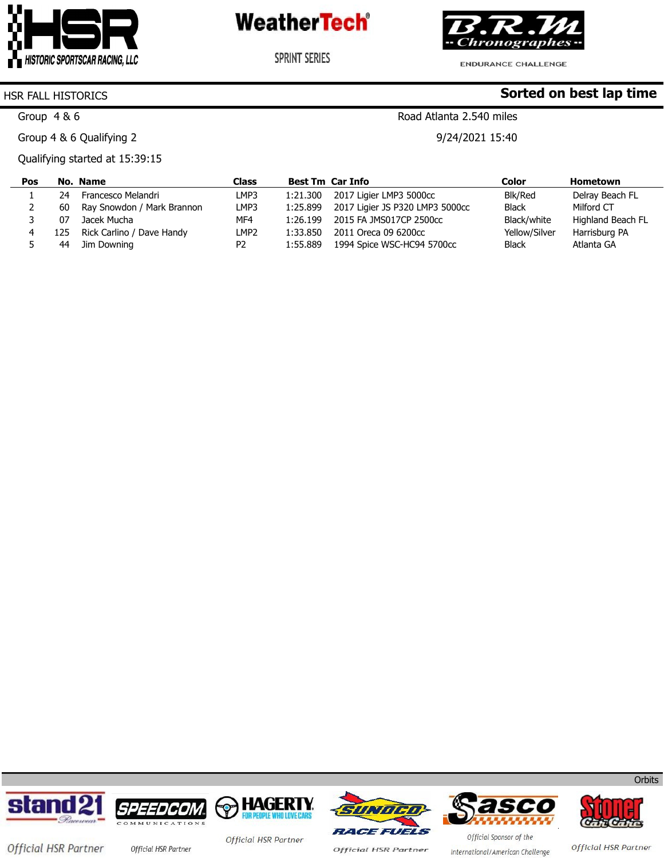



ENDURANCE CHALLENGE

**SPRINT SERIES** 

**Sorted on best lap time**

### HSR FALL HISTORICS

Group 4 & 6

Group 4 & 6 Qualifying 2

Qualifying started at 15:39:15

Road Atlanta 2.540 miles

9/24/2021 15:40

| Pos |     | No. Name                   | <b>Class</b>     |          | <b>Best Tm Car Info</b>         | Color         | Hometown          |
|-----|-----|----------------------------|------------------|----------|---------------------------------|---------------|-------------------|
|     | 24  | Francesco Melandri         | LMP3             | 1:21.300 | 2017 Ligier LMP3 5000cc         | Blk/Red       | Delray Beach FL   |
|     | 60  | Ray Snowdon / Mark Brannon | LMP3             | 1:25.899 | 2017 Ligier JS P320 LMP3 5000cc | <b>Black</b>  | Milford CT        |
|     | 07  | Jacek Mucha                | MF4              | 1:26.199 | 2015 FA JMS017CP 2500cc         | Black/white   | Highland Beach FL |
| 4   | 125 | Rick Carlino / Dave Handy  | LMP <sub>2</sub> | 1:33.850 | 2011 Oreca 09 6200cc            | Yellow/Silver | Harrisburg PA     |
|     | 44  | Jim Downing                | P <sub>2</sub>   | 1:55.889 | 1994 Spice WSC-HC94 5700cc      | <b>Black</b>  | Atlanta GA        |









**Official HSR Partner** 





**Orbits** 

Official HSR Partner official HSR Partner

Official HSR Partner

Official Sponsor of the International/American Challenge

Official HSR Partner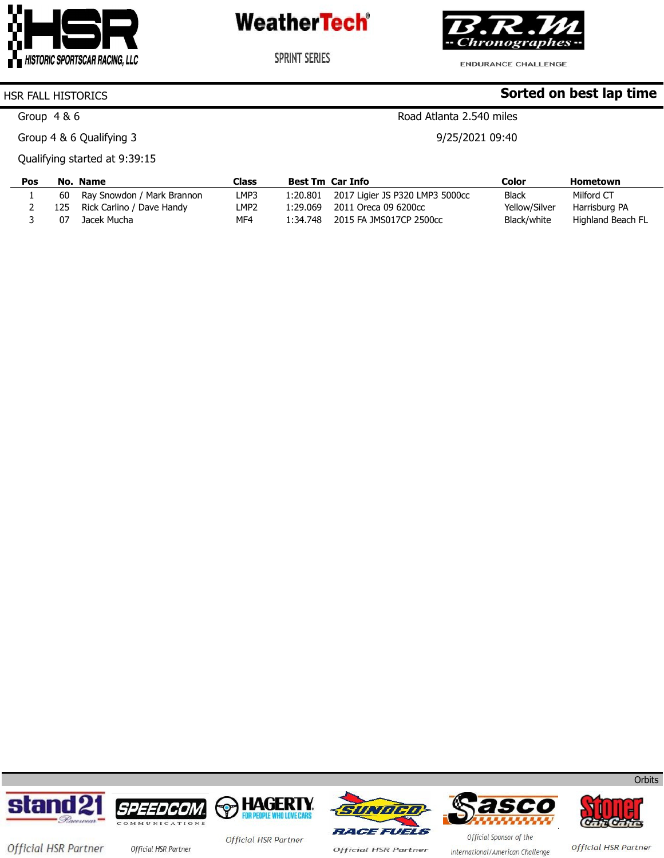



**SPRINT SERIES** 

ENDURANCE CHALLENGE

Road Atlanta 2.540 miles

9/25/2021 09:40

**Sorted on best lap time**

#### HSR FALL HISTORICS

Group 4 & 6

Group 4 & 6 Qualifying 3

Qualifying started at 9:39:15

| Pos |     | No. Name                   | Class            |          | <b>Best Tm Car Info</b>         | Color         | Hometown          |
|-----|-----|----------------------------|------------------|----------|---------------------------------|---------------|-------------------|
|     | 60  | Ray Snowdon / Mark Brannon | LMP3             | 1:20.801 | 2017 Ligier JS P320 LMP3 5000cc | <b>Black</b>  | Milford CT        |
|     | 125 | Rick Carlino / Dave Handy  | LMP <sub>2</sub> | 1:29.069 | 2011 Oreca 09 6200cc            | Yellow/Silver | Harrisburg PA     |
|     | በ7  | Jacek Mucha                | MF4              | 1:34.748 | 2015 FA JMS017CP 2500cc         | Black/white   | Highland Beach FL |













Official HSR Partner

Official HSR Partner official HSR Partner

Official HSR Partner

**Official HSR Partner** 

Official Sponsor of the International/American Challenge

**Orbits**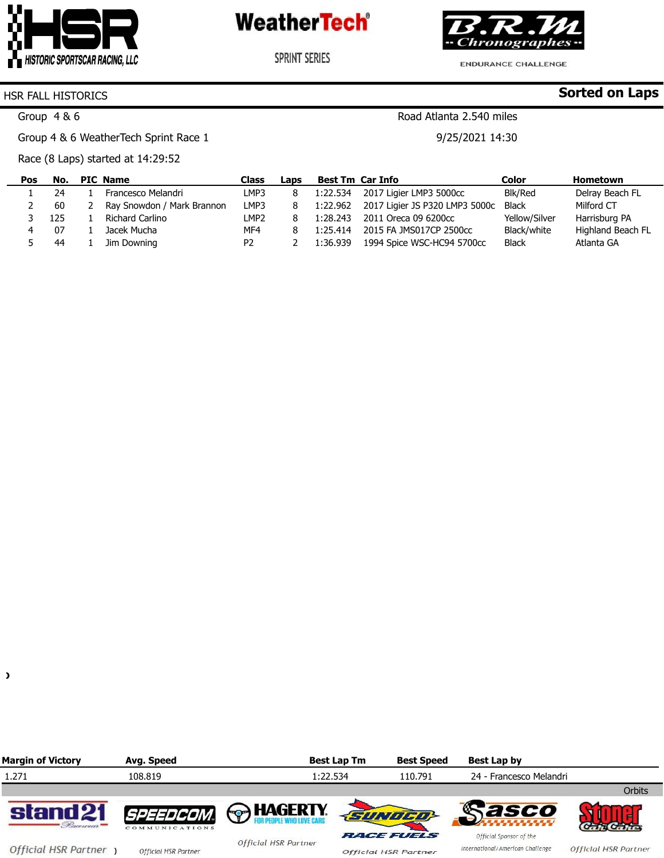

**SPRINT SERIES** 



**ENDURANCE CHALLENGE** 

**Sorted on Laps**

#### HSR FALL HISTORICS

Group 4 & 6

Group 4 & 6 WeatherTech Sprint Race 1

Race (8 Laps) started at 14:29:52

| Pos | No. | <b>PIC Name</b>            | Class            | Laps |          | <b>Best Tm Car Info</b>        | Color         | Hometown          |
|-----|-----|----------------------------|------------------|------|----------|--------------------------------|---------------|-------------------|
|     | 24  | Francesco Melandri         | LMP3             |      | 1:22.534 | 2017 Ligier LMP3 5000cc        | Blk/Red       | Delray Beach FL   |
|     | 60  | Ray Snowdon / Mark Brannon | LMP3             |      | 1:22.962 | 2017 Ligier JS P320 LMP3 5000c | <b>Black</b>  | Milford CT        |
|     | 125 | Richard Carlino            | LMP <sub>2</sub> |      | 1:28.243 | 2011 Oreca 09 6200cc           | Yellow/Silver | Harrisburg PA     |
|     | 07  | Jacek Mucha                | MF4              |      | 1:25.414 | 2015 FA JMS017CP 2500cc        | Black/white   | Highland Beach FL |
|     | 44  | Jim Downing                | P <sub>2</sub>   |      | 1:36.939 | 1994 Spice WSC-HC94 5700cc     | <b>Black</b>  | Atlanta GA        |



Road Atlanta 2.540 miles

9/25/2021 14:30